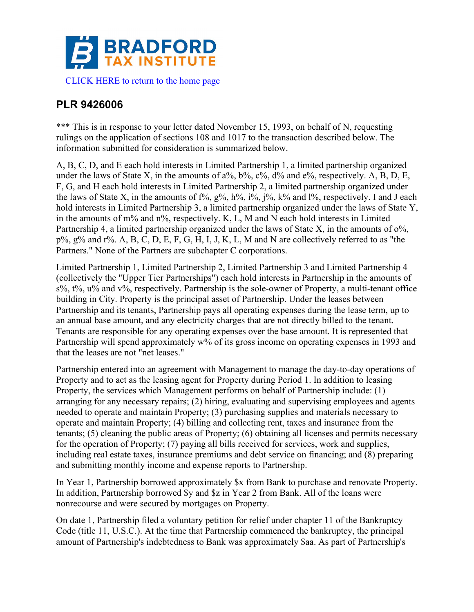

## **PLR 9426006**

\*\*\* This is in response to your letter dated November 15, 1993, on behalf of N, requesting rulings on the application of sections 108 and 1017 to the transaction described below. The information submitted for consideration is summarized below.

A, B, C, D, and E each hold interests in Limited Partnership 1, a limited partnership organized under the laws of State X, in the amounts of  $a\%$ ,  $b\%$ ,  $c\%$ ,  $d\%$  and  $e\%$ , respectively. A, B, D, E, F, G, and H each hold interests in Limited Partnership 2, a limited partnership organized under the laws of State X, in the amounts of  $f\%, g\%, h\%, i\%, j\%, k\%$  and  $l\%,$  respectively. I and J each hold interests in Limited Partnership 3, a limited partnership organized under the laws of State Y, in the amounts of m% and n%, respectively. K, L, M and N each hold interests in Limited Partnership 4, a limited partnership organized under the laws of State X, in the amounts of  $0\%$ ,  $p\%$ ,  $g\%$  and  $r\%$ . A, B, C, D, E, F, G, H, I, J, K, L, M and N are collectively referred to as "the Partners." None of the Partners are subchapter C corporations.

Limited Partnership 1, Limited Partnership 2, Limited Partnership 3 and Limited Partnership 4 (collectively the "Upper Tier Partnerships") each hold interests in Partnership in the amounts of  $s\%$ ,  $t\%$ ,  $u\%$  and  $v\%$ , respectively. Partnership is the sole-owner of Property, a multi-tenant office building in City. Property is the principal asset of Partnership. Under the leases between Partnership and its tenants, Partnership pays all operating expenses during the lease term, up to an annual base amount, and any electricity charges that are not directly billed to the tenant. Tenants are responsible for any operating expenses over the base amount. It is represented that Partnership will spend approximately w% of its gross income on operating expenses in 1993 and that the leases are not "net leases."

Partnership entered into an agreement with Management to manage the day-to-day operations of Property and to act as the leasing agent for Property during Period 1. In addition to leasing Property, the services which Management performs on behalf of Partnership include: (1) arranging for any necessary repairs; (2) hiring, evaluating and supervising employees and agents needed to operate and maintain Property; (3) purchasing supplies and materials necessary to operate and maintain Property; (4) billing and collecting rent, taxes and insurance from the tenants; (5) cleaning the public areas of Property; (6) obtaining all licenses and permits necessary for the operation of Property; (7) paying all bills received for services, work and supplies, including real estate taxes, insurance premiums and debt service on financing; and (8) preparing and submitting monthly income and expense reports to Partnership.

In Year 1, Partnership borrowed approximately \$x from Bank to purchase and renovate Property. In addition, Partnership borrowed \$y and \$z in Year 2 from Bank. All of the loans were nonrecourse and were secured by mortgages on Property.

On date 1, Partnership filed a voluntary petition for relief under chapter 11 of the Bankruptcy Code (title 11, U.S.C.). At the time that Partnership commenced the bankruptcy, the principal amount of Partnership's indebtedness to Bank was approximately \$aa. As part of Partnership's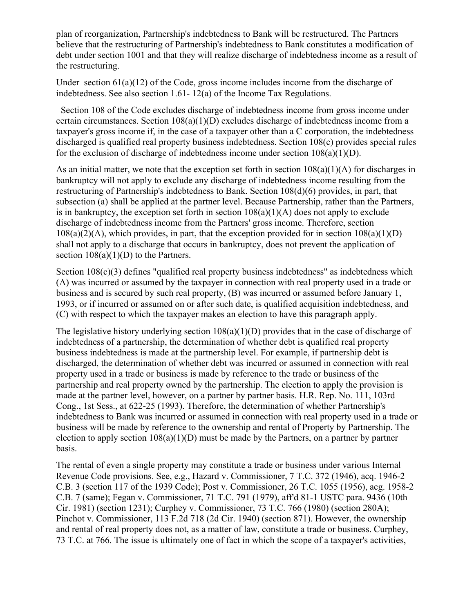plan of reorganization, Partnership's indebtedness to Bank will be restructured. The Partners believe that the restructuring of Partnership's indebtedness to Bank constitutes a modification of debt under section 1001 and that they will realize discharge of indebtedness income as a result of the restructuring.

Under section 61(a)(12) of the Code, gross income includes income from the discharge of indebtedness. See also section 1.61- 12(a) of the Income Tax Regulations.

 Section 108 of the Code excludes discharge of indebtedness income from gross income under certain circumstances. Section 108(a)(1)(D) excludes discharge of indebtedness income from a taxpayer's gross income if, in the case of a taxpayer other than a C corporation, the indebtedness discharged is qualified real property business indebtedness. Section 108(c) provides special rules for the exclusion of discharge of indebtedness income under section  $108(a)(1)(D)$ .

As an initial matter, we note that the exception set forth in section  $108(a)(1)(A)$  for discharges in bankruptcy will not apply to exclude any discharge of indebtedness income resulting from the restructuring of Partnership's indebtedness to Bank. Section 108(d)(6) provides, in part, that subsection (a) shall be applied at the partner level. Because Partnership, rather than the Partners, is in bankruptcy, the exception set forth in section  $108(a)(1)(A)$  does not apply to exclude discharge of indebtedness income from the Partners' gross income. Therefore, section  $108(a)(2)(A)$ , which provides, in part, that the exception provided for in section  $108(a)(1)(D)$ shall not apply to a discharge that occurs in bankruptcy, does not prevent the application of section  $108(a)(1)(D)$  to the Partners.

Section 108(c)(3) defines "qualified real property business indebtedness" as indebtedness which (A) was incurred or assumed by the taxpayer in connection with real property used in a trade or business and is secured by such real property, (B) was incurred or assumed before January 1, 1993, or if incurred or assumed on or after such date, is qualified acquisition indebtedness, and (C) with respect to which the taxpayer makes an election to have this paragraph apply.

The legislative history underlying section 108(a)(1)(D) provides that in the case of discharge of indebtedness of a partnership, the determination of whether debt is qualified real property business indebtedness is made at the partnership level. For example, if partnership debt is discharged, the determination of whether debt was incurred or assumed in connection with real property used in a trade or business is made by reference to the trade or business of the partnership and real property owned by the partnership. The election to apply the provision is made at the partner level, however, on a partner by partner basis. H.R. Rep. No. 111, 103rd Cong., 1st Sess., at 622-25 (1993). Therefore, the determination of whether Partnership's indebtedness to Bank was incurred or assumed in connection with real property used in a trade or business will be made by reference to the ownership and rental of Property by Partnership. The election to apply section  $108(a)(1)(D)$  must be made by the Partners, on a partner by partner basis.

The rental of even a single property may constitute a trade or business under various Internal Revenue Code provisions. See, e.g., Hazard v. Commissioner, 7 T.C. 372 (1946), acq. 1946-2 C.B. 3 (section 117 of the 1939 Code); Post v. Commissioner, 26 T.C. 1055 (1956), acg. 1958-2 C.B. 7 (same); Fegan v. Commissioner, 71 T.C. 791 (1979), aff'd 81-1 USTC para. 9436 (10th Cir. 1981) (section 1231); Curphey v. Commissioner, 73 T.C. 766 (1980) (section 280A); Pinchot v. Commissioner, 113 F.2d 718 (2d Cir. 1940) (section 871). However, the ownership and rental of real property does not, as a matter of law, constitute a trade or business. Curphey, 73 T.C. at 766. The issue is ultimately one of fact in which the scope of a taxpayer's activities,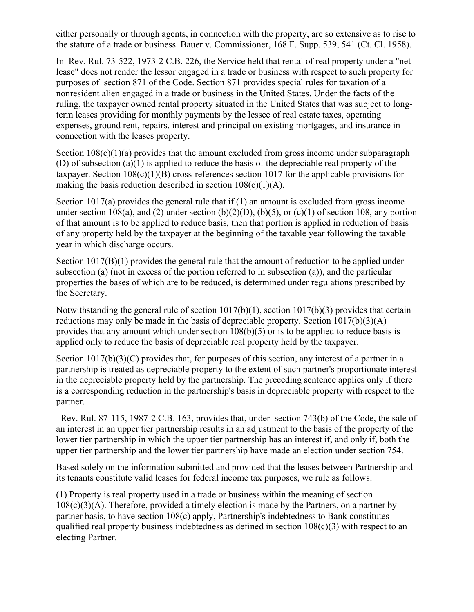either personally or through agents, in connection with the property, are so extensive as to rise to the stature of a trade or business. Bauer v. Commissioner, 168 F. Supp. 539, 541 (Ct. Cl. 1958).

In Rev. Rul. 73-522, 1973-2 C.B. 226, the Service held that rental of real property under a "net lease" does not render the lessor engaged in a trade or business with respect to such property for purposes of section 871 of the Code. Section 871 provides special rules for taxation of a nonresident alien engaged in a trade or business in the United States. Under the facts of the ruling, the taxpayer owned rental property situated in the United States that was subject to longterm leases providing for monthly payments by the lessee of real estate taxes, operating expenses, ground rent, repairs, interest and principal on existing mortgages, and insurance in connection with the leases property.

Section  $108(c)(1)(a)$  provides that the amount excluded from gross income under subparagraph (D) of subsection (a)(1) is applied to reduce the basis of the depreciable real property of the taxpayer. Section  $108(c)(1)(B)$  cross-references section 1017 for the applicable provisions for making the basis reduction described in section  $108(c)(1)(A)$ .

Section 1017(a) provides the general rule that if (1) an amount is excluded from gross income under section 108(a), and (2) under section (b)(2)(D), (b)(5), or (c)(1) of section 108, any portion of that amount is to be applied to reduce basis, then that portion is applied in reduction of basis of any property held by the taxpayer at the beginning of the taxable year following the taxable year in which discharge occurs.

Section 1017(B)(1) provides the general rule that the amount of reduction to be applied under subsection (a) (not in excess of the portion referred to in subsection (a)), and the particular properties the bases of which are to be reduced, is determined under regulations prescribed by the Secretary.

Notwithstanding the general rule of section 1017(b)(1), section 1017(b)(3) provides that certain reductions may only be made in the basis of depreciable property. Section 1017(b)(3)(A) provides that any amount which under section 108(b)(5) or is to be applied to reduce basis is applied only to reduce the basis of depreciable real property held by the taxpayer.

Section 1017(b)(3)(C) provides that, for purposes of this section, any interest of a partner in a partnership is treated as depreciable property to the extent of such partner's proportionate interest in the depreciable property held by the partnership. The preceding sentence applies only if there is a corresponding reduction in the partnership's basis in depreciable property with respect to the partner.

 Rev. Rul. 87-115, 1987-2 C.B. 163, provides that, under section 743(b) of the Code, the sale of an interest in an upper tier partnership results in an adjustment to the basis of the property of the lower tier partnership in which the upper tier partnership has an interest if, and only if, both the upper tier partnership and the lower tier partnership have made an election under section 754.

Based solely on the information submitted and provided that the leases between Partnership and its tenants constitute valid leases for federal income tax purposes, we rule as follows:

(1) Property is real property used in a trade or business within the meaning of section  $108(c)(3)(A)$ . Therefore, provided a timely election is made by the Partners, on a partner by partner basis, to have section 108(c) apply, Partnership's indebtedness to Bank constitutes qualified real property business indebtedness as defined in section  $108(c)(3)$  with respect to an electing Partner.